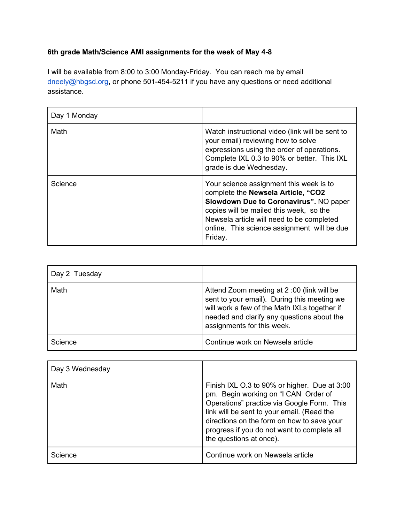## **6th grade Math/Science AMI assignments for the week of May 4-8**

I will be available from 8:00 to 3:00 Monday-Friday. You can reach me by email [dneely@hbgsd.org](mailto:dneely@hbgsd.org), or phone 501-454-5211 if you have any questions or need additional assistance.

| Day 1 Monday |                                                                                                                                                                                                                                                                           |
|--------------|---------------------------------------------------------------------------------------------------------------------------------------------------------------------------------------------------------------------------------------------------------------------------|
| Math         | Watch instructional video (link will be sent to<br>your email) reviewing how to solve<br>expressions using the order of operations.<br>Complete IXL 0.3 to 90% or better. This IXL<br>grade is due Wednesday.                                                             |
| Science      | Your science assignment this week is to<br>complete the Newsela Article, "CO2<br>Slowdown Due to Coronavirus". NO paper<br>copies will be mailed this week, so the<br>Newsela article will need to be completed<br>online. This science assignment will be due<br>Friday. |

| Day 2 Tuesday |                                                                                                                                                                                                                      |
|---------------|----------------------------------------------------------------------------------------------------------------------------------------------------------------------------------------------------------------------|
| Math          | Attend Zoom meeting at 2:00 (link will be<br>sent to your email). During this meeting we<br>will work a few of the Math IXLs together if<br>needed and clarify any questions about the<br>assignments for this week. |
| Science       | Continue work on Newsela article                                                                                                                                                                                     |

| Day 3 Wednesday |                                                                                                                                                                                                                                                                                                          |
|-----------------|----------------------------------------------------------------------------------------------------------------------------------------------------------------------------------------------------------------------------------------------------------------------------------------------------------|
| Math            | Finish IXL O.3 to 90% or higher. Due at 3:00<br>pm. Begin working on "I CAN Order of<br>Operations" practice via Google Form. This<br>link will be sent to your email. (Read the<br>directions on the form on how to save your<br>progress if you do not want to complete all<br>the questions at once). |
| Science         | Continue work on Newsela article                                                                                                                                                                                                                                                                         |